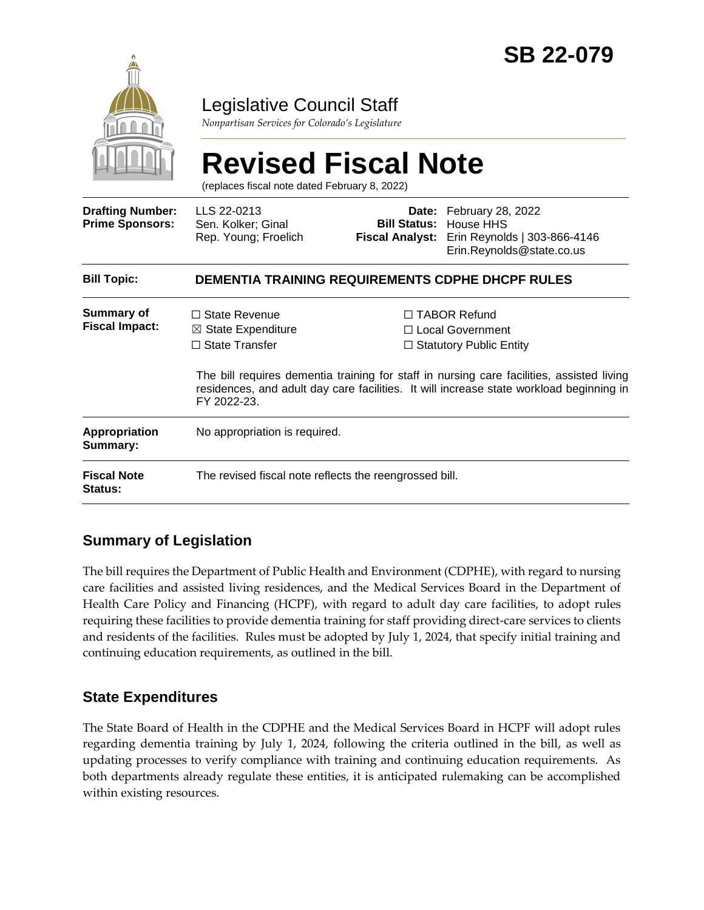

# Legislative Council Staff

*Nonpartisan Services for Colorado's Legislature*

# **Revised Fiscal Note**

(replaces fiscal note dated February 8, 2022)

| <b>Drafting Number:</b><br><b>Prime Sponsors:</b> | LLS 22-0213<br>Sen. Kolker; Ginal<br>Rep. Young; Froelich                                                                                                                                           |  | <b>Date:</b> February 28, 2022<br><b>Bill Status: House HHS</b><br>Fiscal Analyst: Erin Reynolds   303-866-4146<br>Erin.Reynolds@state.co.us |
|---------------------------------------------------|-----------------------------------------------------------------------------------------------------------------------------------------------------------------------------------------------------|--|----------------------------------------------------------------------------------------------------------------------------------------------|
| <b>Bill Topic:</b>                                | <b>DEMENTIA TRAINING REQUIREMENTS CDPHE DHCPF RULES</b>                                                                                                                                             |  |                                                                                                                                              |
| Summary of<br><b>Fiscal Impact:</b>               | $\Box$ State Revenue<br>$\boxtimes$ State Expenditure<br>$\Box$ State Transfer                                                                                                                      |  | □ TABOR Refund<br>$\Box$ Local Government<br>$\Box$ Statutory Public Entity                                                                  |
|                                                   | The bill requires dementia training for staff in nursing care facilities, assisted living<br>residences, and adult day care facilities. It will increase state workload beginning in<br>FY 2022-23. |  |                                                                                                                                              |
| <b>Appropriation</b><br>Summary:                  | No appropriation is required.                                                                                                                                                                       |  |                                                                                                                                              |
| <b>Fiscal Note</b><br>Status:                     | The revised fiscal note reflects the reengrossed bill.                                                                                                                                              |  |                                                                                                                                              |

# **Summary of Legislation**

The bill requires the Department of Public Health and Environment (CDPHE), with regard to nursing care facilities and assisted living residences, and the Medical Services Board in the Department of Health Care Policy and Financing (HCPF), with regard to adult day care facilities, to adopt rules requiring these facilities to provide dementia training for staff providing direct-care services to clients and residents of the facilities. Rules must be adopted by July 1, 2024, that specify initial training and continuing education requirements, as outlined in the bill.

## **State Expenditures**

The State Board of Health in the CDPHE and the Medical Services Board in HCPF will adopt rules regarding dementia training by July 1, 2024, following the criteria outlined in the bill, as well as updating processes to verify compliance with training and continuing education requirements. As both departments already regulate these entities, it is anticipated rulemaking can be accomplished within existing resources.